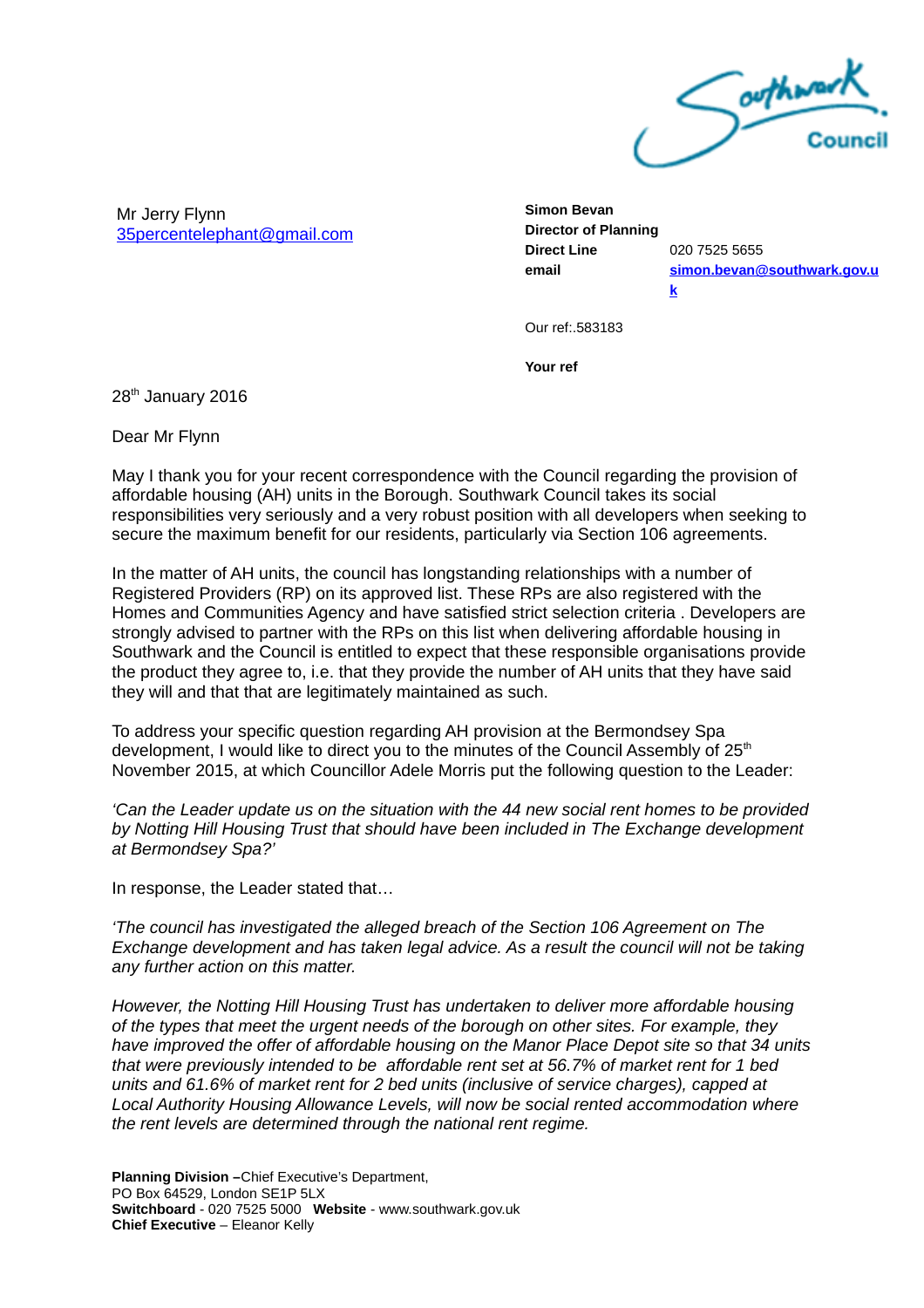

Mr Jerry Flynn [35percentelephant@gmail.com](mailto:35percentelephant@gmail.com) **Simon Bevan Director of Planning Direct Line** 020 7525 5655

**[k](mailto:simon.bevan@southwark.gov.uk)**

**email [simon.bevan@southwark.gov.u](mailto:simon.bevan@southwark.gov.uk)**

Our ref:.583183

**Your ref**

28<sup>th</sup> January 2016

Dear Mr Flynn

May I thank you for your recent correspondence with the Council regarding the provision of affordable housing (AH) units in the Borough. Southwark Council takes its social responsibilities very seriously and a very robust position with all developers when seeking to secure the maximum benefit for our residents, particularly via Section 106 agreements.

In the matter of AH units, the council has longstanding relationships with a number of Registered Providers (RP) on its approved list. These RPs are also registered with the Homes and Communities Agency and have satisfied strict selection criteria . Developers are strongly advised to partner with the RPs on this list when delivering affordable housing in Southwark and the Council is entitled to expect that these responsible organisations provide the product they agree to, i.e. that they provide the number of AH units that they have said they will and that that are legitimately maintained as such.

To address your specific question regarding AH provision at the Bermondsey Spa development, I would like to direct you to the minutes of the Council Assembly of 25<sup>th</sup> November 2015, at which Councillor Adele Morris put the following question to the Leader:

*'Can the Leader update us on the situation with the 44 new social rent homes to be provided by Notting Hill Housing Trust that should have been included in The Exchange development at Bermondsey Spa?'*

In response, the Leader stated that…

*'The council has investigated the alleged breach of the Section 106 Agreement on The Exchange development and has taken legal advice. As a result the council will not be taking any further action on this matter.*

*However, the Notting Hill Housing Trust has undertaken to deliver more affordable housing of the types that meet the urgent needs of the borough on other sites. For example, they have improved the offer of affordable housing on the Manor Place Depot site so that 34 units that were previously intended to be affordable rent set at 56.7% of market rent for 1 bed units and 61.6% of market rent for 2 bed units (inclusive of service charges), capped at Local Authority Housing Allowance Levels, will now be social rented accommodation where the rent levels are determined through the national rent regime.*